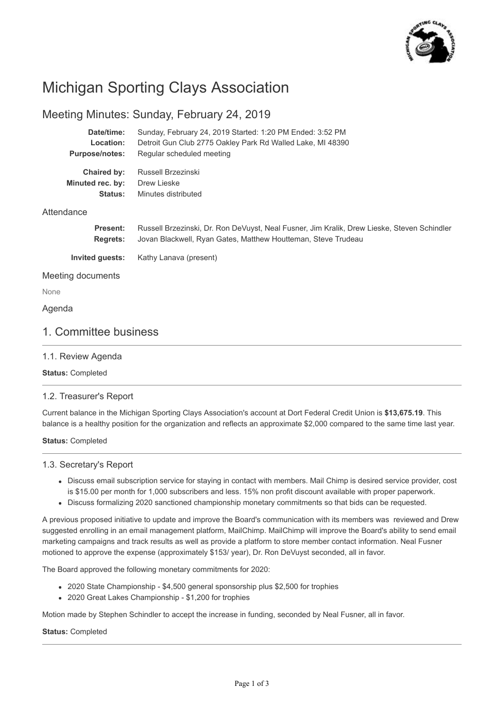

# Michigan Sporting Clays Association

# Meeting Minutes: Sunday, February 24, 2019

| Date/time:            | Sunday, February 24, 2019 Started: 1:20 PM Ended: 3:52 PM  |
|-----------------------|------------------------------------------------------------|
| Location:             | Detroit Gun Club 2775 Oakley Park Rd Walled Lake, MI 48390 |
| <b>Purpose/notes:</b> | Regular scheduled meeting                                  |
| Chaired by:           | Russell Brzezinski                                         |
| Minuted rec. by:      | Drew Lieske                                                |
| Status:               | Minutes distributed                                        |
| Attendance            |                                                            |

| <b>Present:</b> | Russell Brzezinski, Dr. Ron DeVuyst, Neal Fusner, Jim Kralik, Drew Lieske, Steven Schindler |
|-----------------|---------------------------------------------------------------------------------------------|
| <b>Rearets:</b> | Jovan Blackwell, Ryan Gates, Matthew Houtteman, Steve Trudeau                               |
| Invited quests: | Kathy Lanava (present)                                                                      |

#### Meeting documents

None

#### Agenda

## 1. Committee business

#### 1.1. Review Agenda

**Status:** Completed

#### 1.2. Treasurer's Report

Current balance in the Michigan Sporting Clays Association's account at Dort Federal Credit Union is **\$13,675.19**. This balance is a healthy position for the organization and reflects an approximate \$2,000 compared to the same time last year.

#### **Status:** Completed

#### 1.3. Secretary's Report

- Discuss email subscription service for staying in contact with members. Mail Chimp is desired service provider, cost is \$15.00 per month for 1,000 subscribers and less. 15% non profit discount available with proper paperwork.
- Discuss formalizing 2020 sanctioned championship monetary commitments so that bids can be requested.

A previous proposed initiative to update and improve the Board's communication with its members was reviewed and Drew suggested enrolling in an email management platform, MailChimp. MailChimp will improve the Board's ability to send email marketing campaigns and track results as well as provide a platform to store member contact information. Neal Fusner motioned to approve the expense (approximately \$153/ year), Dr. Ron DeVuyst seconded, all in favor.

The Board approved the following monetary commitments for 2020:

- 2020 State Championship \$4,500 general sponsorship plus \$2,500 for trophies
- 2020 Great Lakes Championship \$1,200 for trophies

Motion made by Stephen Schindler to accept the increase in funding, seconded by Neal Fusner, all in favor.

#### **Status:** Completed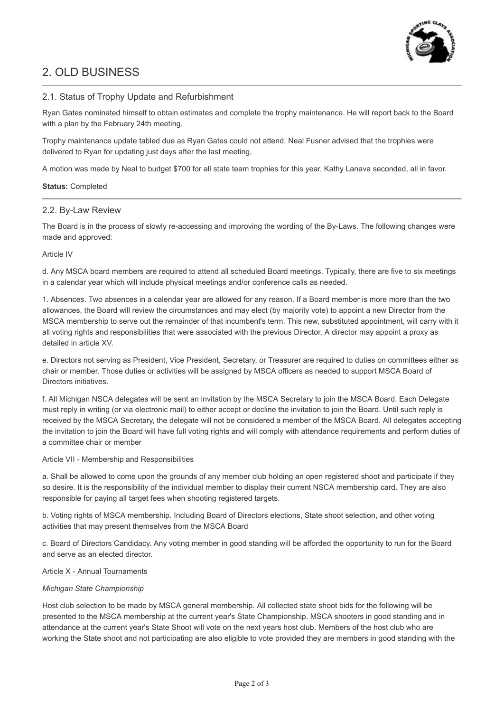

# 2. OLD BUSINESS

#### 2.1. Status of Trophy Update and Refurbishment

Ryan Gates nominated himself to obtain estimates and complete the trophy maintenance. He will report back to the Board with a plan by the February 24th meeting.

Trophy maintenance update tabled due as Ryan Gates could not attend. Neal Fusner advised that the trophies were delivered to Ryan for updating just days after the last meeting,

A motion was made by Neal to budget \$700 for all state team trophies for this year. Kathy Lanava seconded, all in favor.

#### **Status:** Completed

#### 2.2. By-Law Review

The Board is in the process of slowly re-accessing and improving the wording of the By-Laws. The following changes were made and approved:

#### Article IV

d. Any MSCA board members are required to attend all scheduled Board meetings. Typically, there are five to six meetings in a calendar year which will include physical meetings and/or conference calls as needed.

1. Absences. Two absences in a calendar year are allowed for any reason. If a Board member is more more than the two allowances, the Board will review the circumstances and may elect (by majority vote) to appoint a new Director from the MSCA membership to serve out the remainder of that incumbent's term. This new, substituted appointment, will carry with it all voting rights and responsibilities that were associated with the previous Director. A director may appoint a proxy as detailed in article XV.

e. Directors not serving as President, Vice President, Secretary, or Treasurer are required to duties on committees either as chair or member. Those duties or activities will be assigned by MSCA officers as needed to support MSCA Board of Directors initiatives.

f. All Michigan NSCA delegates will be sent an invitation by the MSCA Secretary to join the MSCA Board. Each Delegate must reply in writing (or via electronic mail) to either accept or decline the invitation to join the Board. Until such reply is received by the MSCA Secretary, the delegate will not be considered a member of the MSCA Board. All delegates accepting the invitation to join the Board will have full voting rights and will comply with attendance requirements and perform duties of a committee chair or member

#### Article VII - Membership and Responsibilities

a. Shall be allowed to come upon the grounds of any member club holding an open registered shoot and participate if they so desire. It is the responsibility of the individual member to display their current NSCA membership card. They are also responsible for paying all target fees when shooting registered targets.

b. Voting rights of MSCA membership. Including Board of Directors elections, State shoot selection, and other voting activities that may present themselves from the MSCA Board

c. Board of Directors Candidacy. Any voting member in good standing will be afforded the opportunity to run for the Board and serve as an elected director.

#### Article X - Annual Tournaments

#### *Michigan State Championship*

Host club selection to be made by MSCA general membership. All collected state shoot bids for the following will be presented to the MSCA membership at the current year's State Championship. MSCA shooters in good standing and in attendance at the current year's State Shoot will vote on the next years host club. Members of the host club who are working the State shoot and not participating are also eligible to vote provided they are members in good standing with the